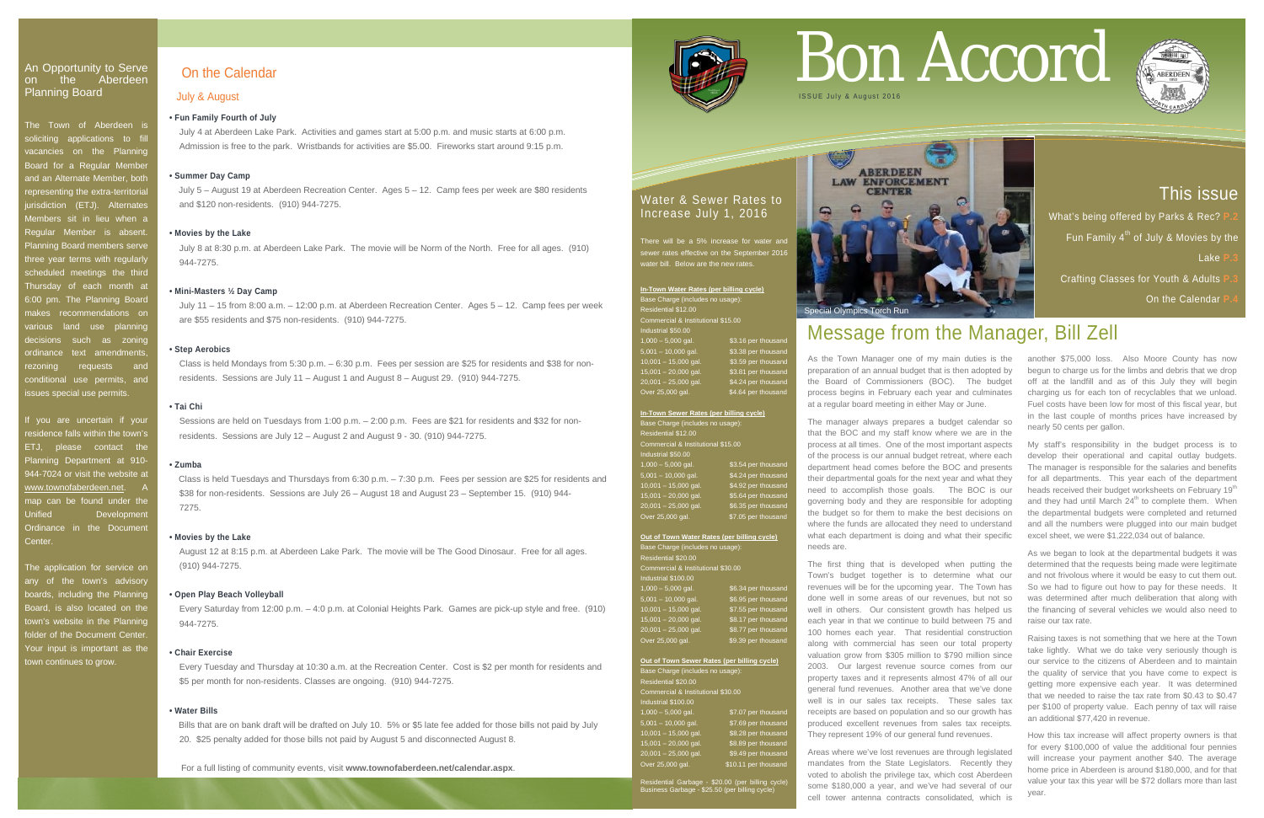# On the Calendar

### July & August

### **• Fun Family Fourth of July**

 July 4 at Aberdeen Lake Park. Activities and games start at 5:00 p.m. and music starts at 6:00 p.m. Admission is free to the park. Wristbands for activities are \$5.00. Fireworks start around 9:15 p.m.

### **• Summer Day Camp**

July 5 – August 19 at Aberdeen Recreation Center. Ages 5 – 12. Camp fees per week are \$80 residents and \$120 non-residents. (910) 944-7275.

 Class is held Mondays from 5:30 p.m. – 6:30 p.m. Fees per session are \$25 for residents and \$38 for non residents. Sessions are July 11 – August 1 and August 8 – August 29.  $(910)$  944-7275.

### **• Movies by the Lake**

 July 8 at 8:30 p.m. at Aberdeen Lake Park. The movie will be Norm of the North. Free for all ages. (910) 944-7275.

### **• Mini-Masters ½ Day Camp**

 July 11 – 15 from 8:00 a.m. – 12:00 p.m. at Aberdeen Recreation Center. Ages 5 – 12. Camp fees per week are \$55 residents and \$75 non-residents. (910) 944-7275.

### **• Step Aerobics**

### **• Tai Chi**

### An Opportunity to Serve on the Aberdeen Planning Board

 Sessions are held on Tuesdays from 1:00 p.m. – 2:00 p.m. Fees are \$21 for residents and \$32 for non residents. Sessions are July 12 – August 2 and August 9 - 30. (910) 944-7275.

The Town of Aberdeen is soliciting applications to fill vacancies on the Planning Board for a Regular Member and an Alternate Member, both representing the extra-territorial jurisdiction (ETJ). Alternates Members sit in lieu when a Regular Member is absent. Planning Board members serve three year terms with regularly scheduled meetings the third Thursday of each month at 6:00 pm. The Planning Board makes recommendations on various land use planning decisions such as zoning ordinance text amendments rezoning requests and conditional use permits, and ssues special use permits.

### **• Zumba**

Class is held Tuesdays and Thursdays from 6:30 p.m. – 7:30 p.m. Fees per session are \$25 for residents and \$38 for non-residents. Sessions are July 26 – August 18 and August 23 – September 15. (910) 944- 7275.

### **• Movies by the Lake**

 August 12 at 8:15 p.m. at Aberdeen Lake Park. The movie will be The Good Dinosaur. Free for all ages. (910) 944-7275.

If you are uncertain if your residence falls within the town's ETJ, please contact the Planning Department at 910- 944-7024 or visit the website at [www.townofaberdeen.net.](http://www.townofaberdeen.net/) A map can be found under the Unified Development Ordinance in the Documen Center.

### **• Open Play Beach Volleyball**

 Every Saturday from 12:00 p.m. – 4:0 p.m. at Colonial Heights Park. Games are pick-up style and free. (910) 944-7275.

### **• Chair Exercise**

There will be a 5% increase for water and sewer rates effective on the September 2016 water bill. Below are the new rates.

 Every Tuesday and Thursday at 10:30 a.m. at the Recreation Center. Cost is \$2 per month for residents and \$5 per month for non-residents. Classes are ongoing. (910) 944-7275.

### **• Water Bills**

Bills that are on bank draft will be drafted on July 10. 5% or \$5 late fee added for those bills not paid by July 20. \$25 penalty added for those bills not paid by August 5 and disconnected August 8.

### **Out of Town Water Rates (per billing cycle)** Base Charge (includes no usage): Residential \$20.00 Commercial & Institutional \$30.00 Industrial \$100.00 1,000 – 5,000 gal. \$6.34 per thousand

5,001 – 10,000 gal. \$6.95 per thousand 10,001 – 15,000 gal. \$7.55 per thousand  $15,001 - 20,000$  gal. \$8.17 per thousand 20,001 – 25,000 gal. **\$8.77** per thousand Over 25,000 gal. \$9.39 per thousand

**ABERDEEN LAW ENFORCEMENT CENTER** Special Olympics Torch Run

The application for service on any of the town's advisory boards, including the Planning Board, is also located on the town's website in the Planning folder of the Document Center. Your input is important as the town continues to grow.

### Water & Sewer Rates to Increase July 1, 2016

**In-Town Water Rates (per billing cycle)** Base Charge (includes no usage):

 $1,000 - 5,000$  gal. \$3.16 per thousar  $5,001 - 10,000$  gal. \$3.38 per thousan 10,001 – 15,000 gal. \$3.59 per thousand  $15,001 - 20,000$  gal. \$3.81 per thousand

\$4.24 per thousar<br>\$4.64 per thousan

Residential \$12.00

.<br>Industrial \$50.00

20,001 – 25,000 ga<mark>l</mark><br>Over 25,000 gal.

Commercial & Institutional \$15.00

| In-Town Sewer Rates (per billing cycle) |                     |
|-----------------------------------------|---------------------|
| Base Charge (includes no usage):        |                     |
| <b>Residential \$12.00</b>              |                     |
| Commercial & Institutional \$15.00      |                     |
| Industrial \$50.00                      |                     |
| $1,000 - 5,000$ gal.                    | \$3.54 per thousand |
| $5,001 - 10,000$ gal.                   | \$4.24 per thousand |
| $10,001 - 15,000$ gal.                  | \$4.92 per thousand |
| $15,001 - 20,000$ gal.                  | \$5.64 per thousand |
| $20,001 - 25,000$ gal.                  | \$6.35 per thousand |
| Over 25,000 gal.                        | \$7.05 per thousand |

### **Out of Town Sewer Rates (per billing cycle)**

| Base Charge (includes no usage):   |                      |  |
|------------------------------------|----------------------|--|
| Residential \$20.00                |                      |  |
| Commercial & Institutional \$30.00 |                      |  |
| Industrial \$100.00                |                      |  |
| $1,000 - 5,000$ gal.               | \$7.07 per thousand  |  |
| $5,001 - 10,000$ gal.              | \$7.69 per thousand  |  |
| $10,001 - 15,000$ gal.             | \$8.28 per thousand  |  |
| $15,001 - 20,000$ gal.             | \$8.89 per thousand  |  |
| $20,001 - 25,000$ gal.             | \$9.49 per thousand  |  |
| Over 25,000 gal.                   | \$10.11 per thousand |  |

Residential Garbage - \$20.00 (per billing cycle) Business Garbage - \$25.50 (per billing cycle)

# Bon Accord





# Message from the Manager, Bill Zell

# This issue

What's being offered by Parks & Rec? Fun Family  $4^{th}$  of July & Movies by the Lake **P.3 Crafting Classes for Youth & Adults** 

# **On the Calendar**



preparation of an annual budget that is then adopted by the Board of Commissioners (BOC). The budget process begins in February each year and culminates at a regular board meeting in either May or June.

The manager always prepares a budget calendar so that the BOC and my staff know where we are in the process at all times. One of the most important aspects of the process is our annual budget retreat, where each department head comes before the BOC and presents their departmental goals for the next year and what they need to accomplish those goals. The BOC is our governing body and they are responsible for adopting the budget so for them to make the best decisions on where the funds are allocated they need to understand what each department is doing and what their specific needs are.

As the Town Manager one of my main duties is the another \$75,000 loss. Also Moore County has now begun to charge us for the limbs and debris that we drop off at the landfill and as of this July they will begin charging us for each ton of recyclables that we unload. Fuel costs have been low for most of this fiscal year, but in the last couple of months prices have increased by nearly 50 cents per gallon.

The first thing that is developed when putting the Town's budget together is to determine what our revenues will be for the upcoming year. The Town has done well in some areas of our revenues, but not so well in others. Our consistent growth has helped us each year in that we continue to build between 75 and 100 homes each year. That residential construction along with commercial has seen our total property valuation grow from \$305 million to \$790 million since 2003. Our largest revenue source comes from our property taxes and it represents almost 47% of all our general fund revenues. Another area that we've done well is in our sales tax receipts. These sales tax receipts are based on population and so our growth has produced excellent revenues from sales tax receipts. They represent 19% of our general fund revenues.

Areas where we've lost revenues are through legislated mandates from the State Legislators. Recently they voted to abolish the privilege tax, which cost Aberdeen some \$180,000 a year, and we've had several of our cell tower antenna contracts consolidated, which is My staff's responsibility in the budget process is to develop their operational and capital outlay budgets. The manager is responsible for the salaries and benefits for all departments. This year each of the department heads received their budget worksheets on February 19<sup>th</sup> and they had until March  $24<sup>th</sup>$  to complete them. When the departmental budgets were completed and returned and all the numbers were plugged into our main budget excel sheet, we were \$1,222,034 out of balance.

As we began to look at the departmental budgets it was determined that the requests being made were legitimate and not frivolous where it would be easy to cut them out. So we had to figure out how to pay for these needs. It was determined after much deliberation that along with the financing of several vehicles we would also need to raise our tax rate.

Raising taxes is not something that we here at the Town take lightly. What we do take very seriously though is our service to the citizens of Aberdeen and to maintain the quality of service that you have come to expect is getting more expensive each year. It was determined that we needed to raise the tax rate from \$0.43 to \$0.47 per \$100 of property value. Each penny of tax will raise an additional \$77,420 in revenue.

How this tax increase will affect property owners is that for every \$100,000 of value the additional four pennies will increase your payment another \$40. The average home price in Aberdeen is around \$180,000, and for that value your tax this year will be \$72 dollars more than last year.

For a full listing of community events, visit **www.townofaberdeen.net/calendar.aspx**.